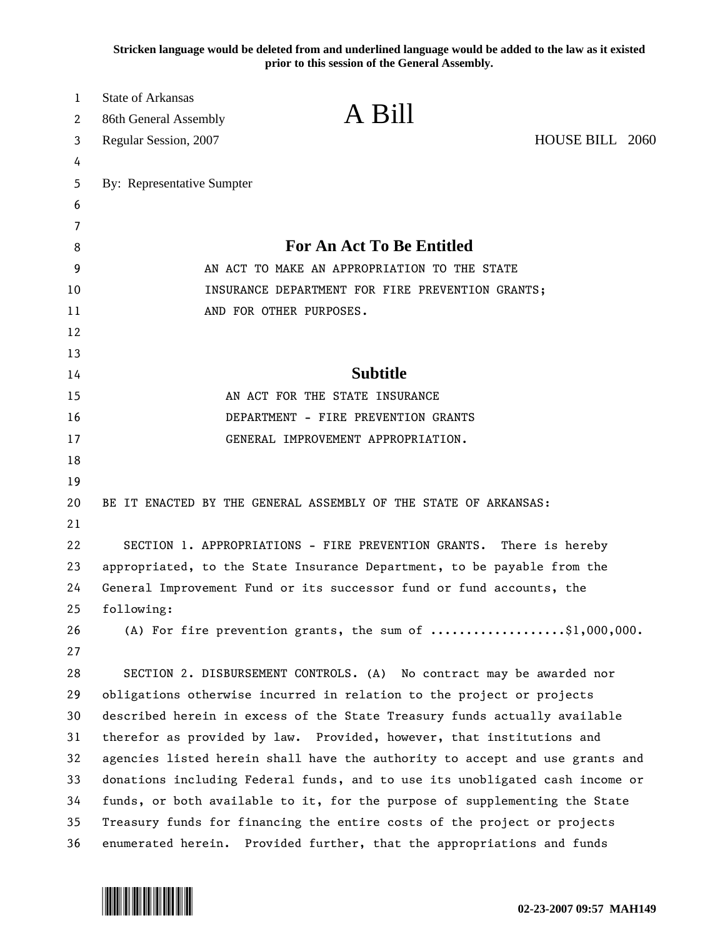**Stricken language would be deleted from and underlined language would be added to the law as it existed prior to this session of the General Assembly.**

| 1<br>2 | <b>State of Arkansas</b><br>86th General Assembly                            | A Bill                                                                                  |                 |
|--------|------------------------------------------------------------------------------|-----------------------------------------------------------------------------------------|-----------------|
| 3      | Regular Session, 2007                                                        |                                                                                         | HOUSE BILL 2060 |
| 4      |                                                                              |                                                                                         |                 |
| 5      | By: Representative Sumpter                                                   |                                                                                         |                 |
| 6      |                                                                              |                                                                                         |                 |
| 7      |                                                                              |                                                                                         |                 |
| 8      | <b>For An Act To Be Entitled</b>                                             |                                                                                         |                 |
| 9      | AN ACT TO MAKE AN APPROPRIATION TO THE STATE                                 |                                                                                         |                 |
| 10     | INSURANCE DEPARTMENT FOR FIRE PREVENTION GRANTS;                             |                                                                                         |                 |
| 11     |                                                                              | AND FOR OTHER PURPOSES.                                                                 |                 |
| 12     |                                                                              |                                                                                         |                 |
| 13     |                                                                              |                                                                                         |                 |
| 14     | <b>Subtitle</b>                                                              |                                                                                         |                 |
| 15     | AN ACT FOR THE STATE INSURANCE                                               |                                                                                         |                 |
| 16     | DEPARTMENT - FIRE PREVENTION GRANTS                                          |                                                                                         |                 |
| 17     |                                                                              | GENERAL IMPROVEMENT APPROPRIATION.                                                      |                 |
| 18     |                                                                              |                                                                                         |                 |
| 19     |                                                                              |                                                                                         |                 |
| 20     |                                                                              | BE IT ENACTED BY THE GENERAL ASSEMBLY OF THE STATE OF ARKANSAS:                         |                 |
| 21     |                                                                              |                                                                                         |                 |
| 22     | SECTION 1. APPROPRIATIONS - FIRE PREVENTION GRANTS. There is hereby          |                                                                                         |                 |
| 23     | appropriated, to the State Insurance Department, to be payable from the      |                                                                                         |                 |
| 24     | General Improvement Fund or its successor fund or fund accounts, the         |                                                                                         |                 |
| 25     | following:                                                                   |                                                                                         |                 |
| 26     |                                                                              | (A) For fire prevention grants, the sum of $\ldots \ldots \ldots \ldots$ , \$1,000,000. |                 |
| 27     |                                                                              |                                                                                         |                 |
| 28     |                                                                              | SECTION 2. DISBURSEMENT CONTROLS. (A) No contract may be awarded nor                    |                 |
| 29     | obligations otherwise incurred in relation to the project or projects        |                                                                                         |                 |
| 30     | described herein in excess of the State Treasury funds actually available    |                                                                                         |                 |
| 31     | therefor as provided by law. Provided, however, that institutions and        |                                                                                         |                 |
| 32     | agencies listed herein shall have the authority to accept and use grants and |                                                                                         |                 |
| 33     | donations including Federal funds, and to use its unobligated cash income or |                                                                                         |                 |
| 34     | funds, or both available to it, for the purpose of supplementing the State   |                                                                                         |                 |
| 35     | Treasury funds for financing the entire costs of the project or projects     |                                                                                         |                 |
| 36     |                                                                              | enumerated herein. Provided further, that the appropriations and funds                  |                 |